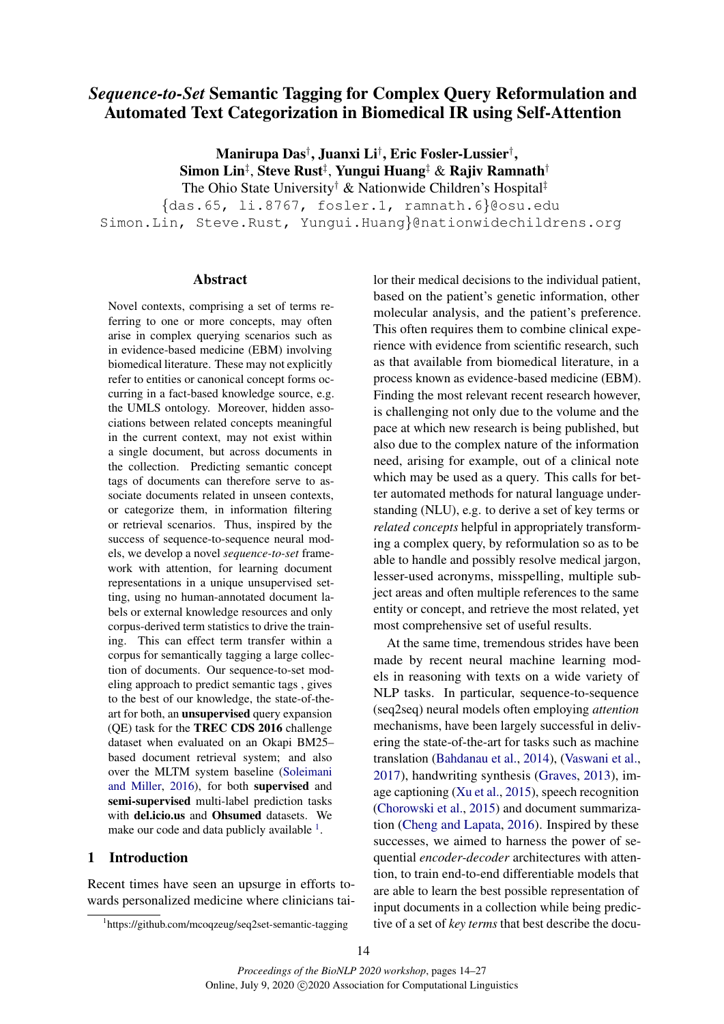# *Sequence-to-Set* Semantic Tagging for Complex Query Reformulation and Automated Text Categorization in Biomedical IR using Self-Attention

Manirupa Das† , Juanxi Li† , Eric Fosler-Lussier† , Simon Lin $^\ddag$ , Steve Rust $^\ddag$ , Yungui Huang $^\ddag$  & Rajiv Ramnath $^\dag$ 

The Ohio State University† & Nationwide Children's Hospital‡

{das.65, li.8767, fosler.1, ramnath.6}@osu.edu Simon.Lin, Steve.Rust, Yungui.Huang}@nationwidechildrens.org

# Abstract

Novel contexts, comprising a set of terms referring to one or more concepts, may often arise in complex querying scenarios such as in evidence-based medicine (EBM) involving biomedical literature. These may not explicitly refer to entities or canonical concept forms occurring in a fact-based knowledge source, e.g. the UMLS ontology. Moreover, hidden associations between related concepts meaningful in the current context, may not exist within a single document, but across documents in the collection. Predicting semantic concept tags of documents can therefore serve to associate documents related in unseen contexts, or categorize them, in information filtering or retrieval scenarios. Thus, inspired by the success of sequence-to-sequence neural models, we develop a novel *sequence-to-set* framework with attention, for learning document representations in a unique unsupervised setting, using no human-annotated document labels or external knowledge resources and only corpus-derived term statistics to drive the training. This can effect term transfer within a corpus for semantically tagging a large collection of documents. Our sequence-to-set modeling approach to predict semantic tags , gives to the best of our knowledge, the state-of-theart for both, an unsupervised query expansion (QE) task for the TREC CDS 2016 challenge dataset when evaluated on an Okapi BM25– based document retrieval system; and also over the MLTM system baseline [\(Soleimani](#page-8-0) [and Miller,](#page-8-0) [2016\)](#page-8-0), for both supervised and semi-supervised multi-label prediction tasks with del.icio.us and Ohsumed datasets. We make our code and data publicly available <sup>[1](#page-0-0)</sup>.

# 1 Introduction

Recent times have seen an upsurge in efforts towards personalized medicine where clinicians tai-

lor their medical decisions to the individual patient, based on the patient's genetic information, other molecular analysis, and the patient's preference. This often requires them to combine clinical experience with evidence from scientific research, such as that available from biomedical literature, in a process known as evidence-based medicine (EBM). Finding the most relevant recent research however, is challenging not only due to the volume and the pace at which new research is being published, but also due to the complex nature of the information need, arising for example, out of a clinical note which may be used as a query. This calls for better automated methods for natural language understanding (NLU), e.g. to derive a set of key terms or *related concepts* helpful in appropriately transforming a complex query, by reformulation so as to be able to handle and possibly resolve medical jargon, lesser-used acronyms, misspelling, multiple subject areas and often multiple references to the same entity or concept, and retrieve the most related, yet most comprehensive set of useful results.

At the same time, tremendous strides have been made by recent neural machine learning models in reasoning with texts on a wide variety of NLP tasks. In particular, sequence-to-sequence (seq2seq) neural models often employing *attention* mechanisms, have been largely successful in delivering the state-of-the-art for tasks such as machine translation [\(Bahdanau et al.,](#page-7-0) [2014\)](#page-7-0), [\(Vaswani et al.,](#page-8-1) [2017\)](#page-8-1), handwriting synthesis [\(Graves,](#page-8-2) [2013\)](#page-8-2), image captioning [\(Xu et al.,](#page-9-0) [2015\)](#page-9-0), speech recognition [\(Chorowski et al.,](#page-7-1) [2015\)](#page-7-1) and document summarization [\(Cheng and Lapata,](#page-7-2) [2016\)](#page-7-2). Inspired by these successes, we aimed to harness the power of sequential *encoder-decoder* architectures with attention, to train end-to-end differentiable models that are able to learn the best possible representation of input documents in a collection while being predictive of a set of *key terms* that best describe the docu-

<span id="page-0-0"></span><sup>1</sup> https://github.com/mcoqzeug/seq2set-semantic-tagging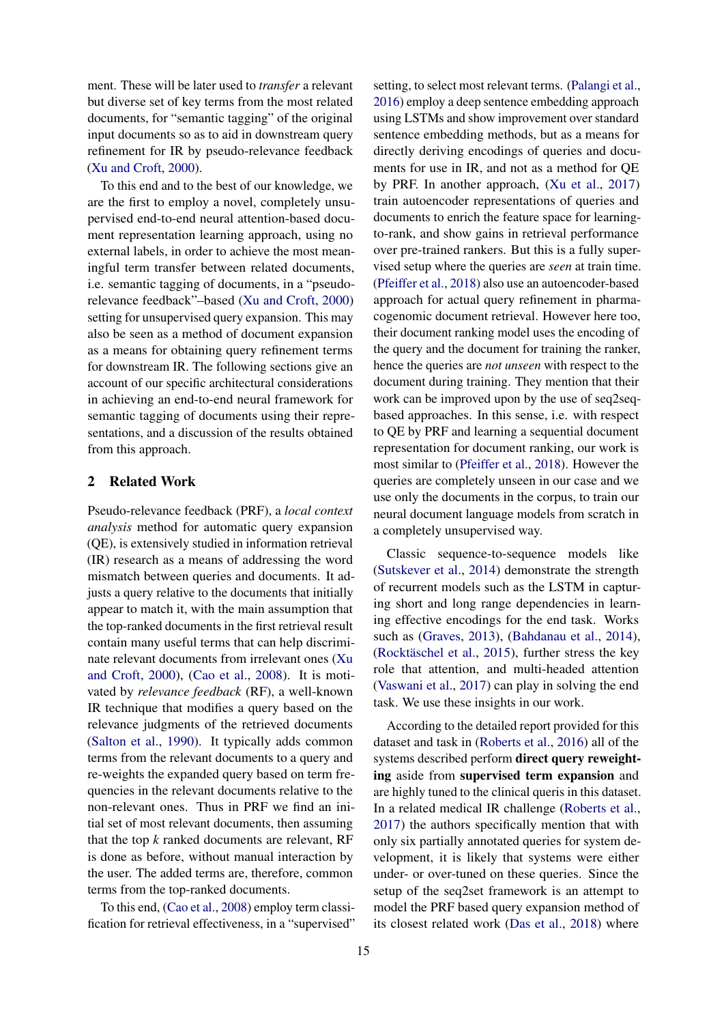ment. These will be later used to *transfer* a relevant but diverse set of key terms from the most related documents, for "semantic tagging" of the original input documents so as to aid in downstream query refinement for IR by pseudo-relevance feedback [\(Xu and Croft,](#page-9-1) [2000\)](#page-9-1).

To this end and to the best of our knowledge, we are the first to employ a novel, completely unsupervised end-to-end neural attention-based document representation learning approach, using no external labels, in order to achieve the most meaningful term transfer between related documents, i.e. semantic tagging of documents, in a "pseudorelevance feedback"–based [\(Xu and Croft,](#page-9-1) [2000\)](#page-9-1) setting for unsupervised query expansion. This may also be seen as a method of document expansion as a means for obtaining query refinement terms for downstream IR. The following sections give an account of our specific architectural considerations in achieving an end-to-end neural framework for semantic tagging of documents using their representations, and a discussion of the results obtained from this approach.

### 2 Related Work

Pseudo-relevance feedback (PRF), a *local context analysis* method for automatic query expansion (QE), is extensively studied in information retrieval (IR) research as a means of addressing the word mismatch between queries and documents. It adjusts a query relative to the documents that initially appear to match it, with the main assumption that the top-ranked documents in the first retrieval result contain many useful terms that can help discriminate relevant documents from irrelevant ones [\(Xu](#page-9-1) [and Croft,](#page-9-1) [2000\)](#page-9-1), [\(Cao et al.,](#page-7-3) [2008\)](#page-7-3). It is motivated by *relevance feedback* (RF), a well-known IR technique that modifies a query based on the relevance judgments of the retrieved documents [\(Salton et al.,](#page-8-3) [1990\)](#page-8-3). It typically adds common terms from the relevant documents to a query and re-weights the expanded query based on term frequencies in the relevant documents relative to the non-relevant ones. Thus in PRF we find an initial set of most relevant documents, then assuming that the top *k* ranked documents are relevant, RF is done as before, without manual interaction by the user. The added terms are, therefore, common terms from the top-ranked documents.

To this end, [\(Cao et al.,](#page-7-3) [2008\)](#page-7-3) employ term classification for retrieval effectiveness, in a "supervised"

setting, to select most relevant terms. [\(Palangi et al.,](#page-8-4) [2016\)](#page-8-4) employ a deep sentence embedding approach using LSTMs and show improvement over standard sentence embedding methods, but as a means for directly deriving encodings of queries and documents for use in IR, and not as a method for QE by PRF. In another approach, [\(Xu et al.,](#page-9-2) [2017\)](#page-9-2) train autoencoder representations of queries and documents to enrich the feature space for learningto-rank, and show gains in retrieval performance over pre-trained rankers. But this is a fully supervised setup where the queries are *seen* at train time. [\(Pfeiffer et al.,](#page-8-5) [2018\)](#page-8-5) also use an autoencoder-based approach for actual query refinement in pharmacogenomic document retrieval. However here too, their document ranking model uses the encoding of the query and the document for training the ranker, hence the queries are *not unseen* with respect to the document during training. They mention that their work can be improved upon by the use of seq2seqbased approaches. In this sense, i.e. with respect to QE by PRF and learning a sequential document representation for document ranking, our work is most similar to [\(Pfeiffer et al.,](#page-8-5) [2018\)](#page-8-5). However the queries are completely unseen in our case and we use only the documents in the corpus, to train our neural document language models from scratch in a completely unsupervised way.

Classic sequence-to-sequence models like [\(Sutskever et al.,](#page-8-6) [2014\)](#page-8-6) demonstrate the strength of recurrent models such as the LSTM in capturing short and long range dependencies in learning effective encodings for the end task. Works such as [\(Graves,](#page-8-2) [2013\)](#page-8-2), [\(Bahdanau et al.,](#page-7-0) [2014\)](#page-7-0), (Rocktäschel et al., [2015\)](#page-8-7), further stress the key role that attention, and multi-headed attention [\(Vaswani et al.,](#page-8-1) [2017\)](#page-8-1) can play in solving the end task. We use these insights in our work.

According to the detailed report provided for this dataset and task in [\(Roberts et al.,](#page-8-8) [2016\)](#page-8-8) all of the systems described perform direct query reweighting aside from supervised term expansion and are highly tuned to the clinical queris in this dataset. In a related medical IR challenge [\(Roberts et al.,](#page-8-9) [2017\)](#page-8-9) the authors specifically mention that with only six partially annotated queries for system development, it is likely that systems were either under- or over-tuned on these queries. Since the setup of the seq2set framework is an attempt to model the PRF based query expansion method of its closest related work [\(Das et al.,](#page-7-4) [2018\)](#page-7-4) where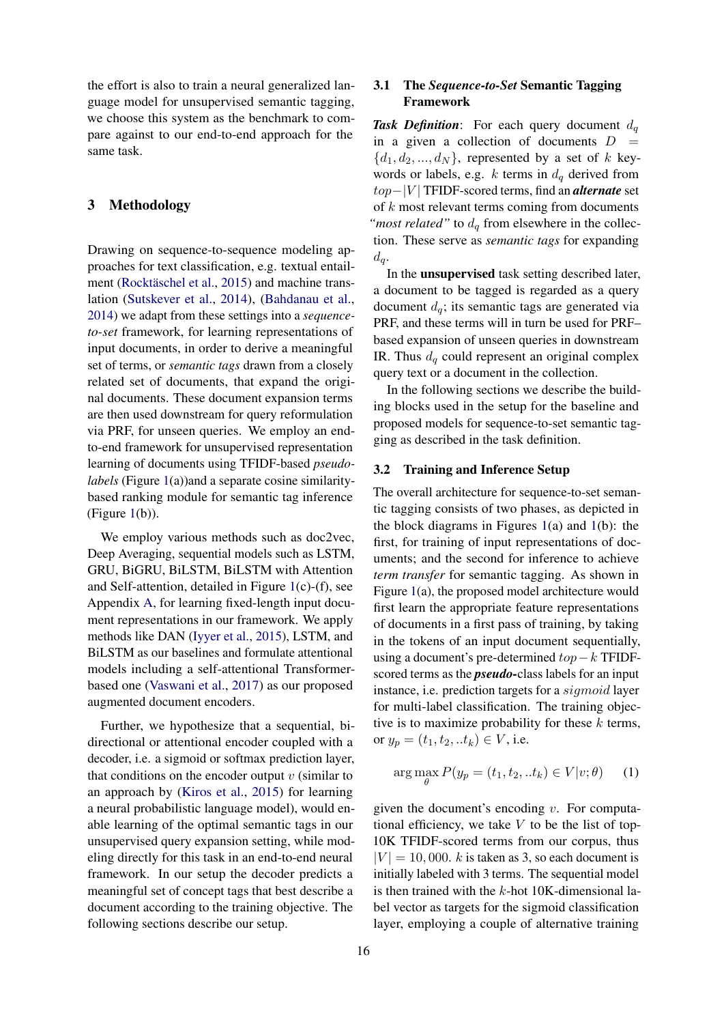the effort is also to train a neural generalized language model for unsupervised semantic tagging, we choose this system as the benchmark to compare against to our end-to-end approach for the same task.

# 3 Methodology

Drawing on sequence-to-sequence modeling approaches for text classification, e.g. textual entail-ment (Rocktäschel et al., [2015\)](#page-8-7) and machine translation [\(Sutskever et al.,](#page-8-6) [2014\)](#page-8-6), [\(Bahdanau et al.,](#page-7-0) [2014\)](#page-7-0) we adapt from these settings into a *sequenceto-set* framework, for learning representations of input documents, in order to derive a meaningful set of terms, or *semantic tags* drawn from a closely related set of documents, that expand the original documents. These document expansion terms are then used downstream for query reformulation via PRF, for unseen queries. We employ an endto-end framework for unsupervised representation learning of documents using TFIDF-based *pseudolabels* (Figure [1\(](#page-3-0)a))and a separate cosine similaritybased ranking module for semantic tag inference (Figure  $1(b)$  $1(b)$ ).

We employ various methods such as doc2vec, Deep Averaging, sequential models such as LSTM, GRU, BiGRU, BiLSTM, BiLSTM with Attention and Self-attention, detailed in Figure [1\(](#page-3-0)c)-(f), see Appendix [A,](#page-10-0) for learning fixed-length input document representations in our framework. We apply methods like DAN [\(Iyyer et al.,](#page-8-10) [2015\)](#page-8-10), LSTM, and BiLSTM as our baselines and formulate attentional models including a self-attentional Transformerbased one [\(Vaswani et al.,](#page-8-1) [2017\)](#page-8-1) as our proposed augmented document encoders.

Further, we hypothesize that a sequential, bidirectional or attentional encoder coupled with a decoder, i.e. a sigmoid or softmax prediction layer, that conditions on the encoder output  $v$  (similar to an approach by [\(Kiros et al.,](#page-8-11) [2015\)](#page-8-11) for learning a neural probabilistic language model), would enable learning of the optimal semantic tags in our unsupervised query expansion setting, while modeling directly for this task in an end-to-end neural framework. In our setup the decoder predicts a meaningful set of concept tags that best describe a document according to the training objective. The following sections describe our setup.

# 3.1 The *Sequence-to-Set* Semantic Tagging Framework

**Task Definition:** For each query document  $d_q$ in a given a collection of documents  $D =$  $\{d_1, d_2, ..., d_N\}$ , represented by a set of k keywords or labels, e.g. k terms in  $d_q$  derived from top−|V | TFIDF-scored terms, find an *alternate* set of k most relevant terms coming from documents *"most related"* to  $d_q$  from elsewhere in the collection. These serve as *semantic tags* for expanding  $d_q$ .

In the unsupervised task setting described later, a document to be tagged is regarded as a query document  $d_q$ ; its semantic tags are generated via PRF, and these terms will in turn be used for PRF– based expansion of unseen queries in downstream IR. Thus  $d_q$  could represent an original complex query text or a document in the collection.

In the following sections we describe the building blocks used in the setup for the baseline and proposed models for sequence-to-set semantic tagging as described in the task definition.

#### 3.2 Training and Inference Setup

The overall architecture for sequence-to-set semantic tagging consists of two phases, as depicted in the block diagrams in Figures  $1(a)$  $1(a)$  and  $1(b)$ : the first, for training of input representations of documents; and the second for inference to achieve *term transfer* for semantic tagging. As shown in Figure [1\(](#page-3-0)a), the proposed model architecture would first learn the appropriate feature representations of documents in a first pass of training, by taking in the tokens of an input document sequentially, using a document's pre-determined  $top-k$  TFIDFscored terms as the *pseudo-*class labels for an input instance, i.e. prediction targets for a sigmoid layer for multi-label classification. The training objective is to maximize probability for these  $k$  terms, or  $y_p = (t_1, t_2, ... t_k) \in V$ , i.e.

$$
\arg\max_{\theta} P(y_p = (t_1, t_2, ... t_k) \in V | v; \theta)
$$
 (1)

given the document's encoding  $v$ . For computational efficiency, we take  $V$  to be the list of top-10K TFIDF-scored terms from our corpus, thus  $|V| = 10,000$ . k is taken as 3, so each document is initially labeled with 3 terms. The sequential model is then trained with the  $k$ -hot 10K-dimensional label vector as targets for the sigmoid classification layer, employing a couple of alternative training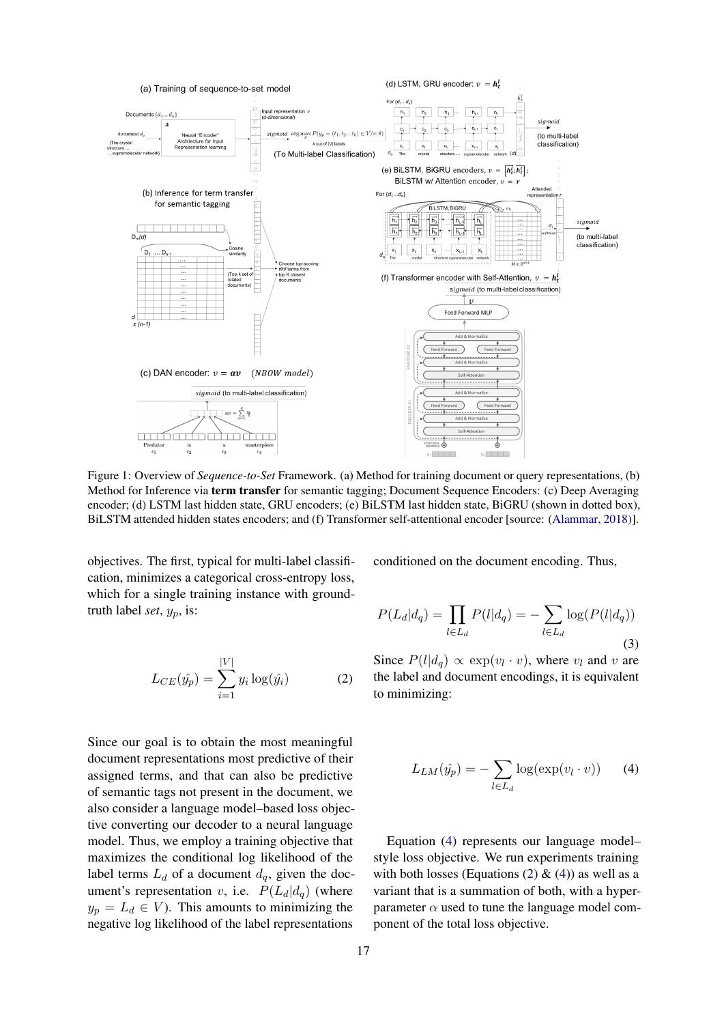<span id="page-3-0"></span>

Figure 1: Overview of *Sequence-to-Set* Framework. (a) Method for training document or query representations, (b) Method for Inference via term transfer for semantic tagging; Document Sequence Encoders: (c) Deep Averaging encoder; (d) LSTM last hidden state, GRU encoders; (e) BiLSTM last hidden state, BiGRU (shown in dotted box), BiLSTM attended hidden states encoders; and (f) Transformer self-attentional encoder [source: [\(Alammar,](#page-7-5) [2018\)](#page-7-5)].

objectives. The first, typical for multi-label classification, minimizes a categorical cross-entropy loss, which for a single training instance with groundtruth label *set*,  $y_p$ , is:

<span id="page-3-2"></span>
$$
L_{CE}(\hat{y_p}) = \sum_{i=1}^{|V|} y_i \log(\hat{y_i})
$$
 (2)

Since our goal is to obtain the most meaningful document representations most predictive of their assigned terms, and that can also be predictive of semantic tags not present in the document, we also consider a language model–based loss objective converting our decoder to a neural language model. Thus, we employ a training objective that maximizes the conditional log likelihood of the label terms  $L_d$  of a document  $d_q$ , given the document's representation v, i.e.  $P(L_d|d_q)$  (where  $y_p = L_d \in V$ ). This amounts to minimizing the negative log likelihood of the label representations

conditioned on the document encoding. Thus,

$$
P(L_d|d_q) = \prod_{l \in L_d} P(l|d_q) = -\sum_{l \in L_d} \log(P(l|d_q))
$$
\n(3)

<span id="page-3-1"></span>Since  $P(l|d_q) \propto \exp(v_l \cdot v)$ , where  $v_l$  and v are the label and document encodings, it is equivalent to minimizing:

$$
L_{LM}(\hat{y}_p) = -\sum_{l \in L_d} \log(\exp(v_l \cdot v)) \qquad (4)
$$

Equation [\(4\)](#page-3-1) represents our language model– style loss objective. We run experiments training with both losses (Equations [\(2\)](#page-3-2)  $\&$  [\(4\)](#page-3-1)) as well as a variant that is a summation of both, with a hyperparameter  $\alpha$  used to tune the language model component of the total loss objective.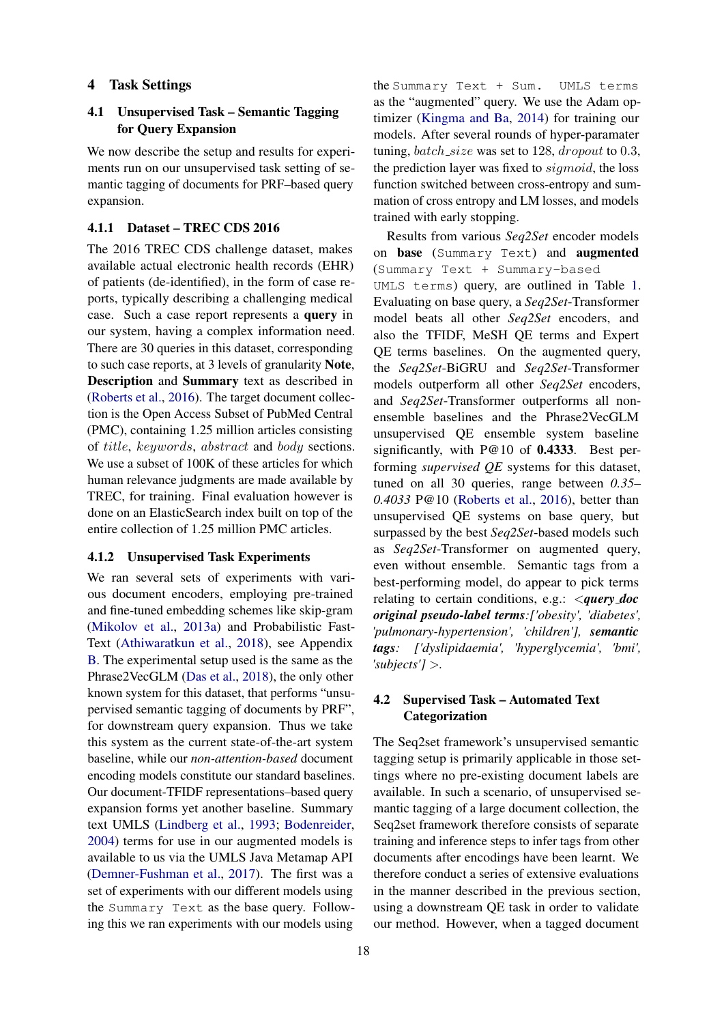### 4 Task Settings

# 4.1 Unsupervised Task – Semantic Tagging for Query Expansion

We now describe the setup and results for experiments run on our unsupervised task setting of semantic tagging of documents for PRF–based query expansion.

#### 4.1.1 Dataset – TREC CDS 2016

The 2016 TREC CDS challenge dataset, makes available actual electronic health records (EHR) of patients (de-identified), in the form of case reports, typically describing a challenging medical case. Such a case report represents a query in our system, having a complex information need. There are 30 queries in this dataset, corresponding to such case reports, at 3 levels of granularity Note, Description and Summary text as described in [\(Roberts et al.,](#page-8-8) [2016\)](#page-8-8). The target document collection is the Open Access Subset of PubMed Central (PMC), containing 1.25 million articles consisting of title, keywords, abstract and body sections. We use a subset of 100K of these articles for which human relevance judgments are made available by TREC, for training. Final evaluation however is done on an ElasticSearch index built on top of the entire collection of 1.25 million PMC articles.

# 4.1.2 Unsupervised Task Experiments

We ran several sets of experiments with various document encoders, employing pre-trained and fine-tuned embedding schemes like skip-gram [\(Mikolov et al.,](#page-8-12) [2013a\)](#page-8-12) and Probabilistic Fast-Text [\(Athiwaratkun et al.,](#page-7-6) [2018\)](#page-7-6), see Appendix [B.](#page-11-0) The experimental setup used is the same as the Phrase2VecGLM [\(Das et al.,](#page-7-4) [2018\)](#page-7-4), the only other known system for this dataset, that performs "unsupervised semantic tagging of documents by PRF", for downstream query expansion. Thus we take this system as the current state-of-the-art system baseline, while our *non-attention-based* document encoding models constitute our standard baselines. Our document-TFIDF representations–based query expansion forms yet another baseline. Summary text UMLS [\(Lindberg et al.,](#page-8-13) [1993;](#page-8-13) [Bodenreider,](#page-7-7) [2004\)](#page-7-7) terms for use in our augmented models is available to us via the UMLS Java Metamap API [\(Demner-Fushman et al.,](#page-7-8) [2017\)](#page-7-8). The first was a set of experiments with our different models using the Summary Text as the base query. Following this we ran experiments with our models using

the Summary Text + Sum. UMLS terms as the "augmented" query. We use the Adam optimizer [\(Kingma and Ba,](#page-8-14) [2014\)](#page-8-14) for training our models. After several rounds of hyper-paramater tuning,  $batch\_size$  was set to 128, dropout to 0.3, the prediction layer was fixed to sigmoid, the loss function switched between cross-entropy and summation of cross entropy and LM losses, and models trained with early stopping.

Results from various *Seq2Set* encoder models on base (Summary Text) and augmented (Summary Text + Summary-based UMLS terms) query, are outlined in Table [1.](#page-5-0) Evaluating on base query, a *Seq2Set*-Transformer model beats all other *Seq2Set* encoders, and also the TFIDF, MeSH QE terms and Expert QE terms baselines. On the augmented query, the *Seq2Set*-BiGRU and *Seq2Set*-Transformer models outperform all other *Seq2Set* encoders, and *Seq2Set*-Transformer outperforms all nonensemble baselines and the Phrase2VecGLM unsupervised QE ensemble system baseline significantly, with P@10 of 0.4333. Best performing *supervised QE* systems for this dataset, tuned on all 30 queries, range between *0.35*– *0.4033* P@10 [\(Roberts et al.,](#page-8-8) [2016\)](#page-8-8), better than unsupervised QE systems on base query, but surpassed by the best *Seq2Set*-based models such as *Seq2Set*-Transformer on augmented query, even without ensemble. Semantic tags from a best-performing model, do appear to pick terms relating to certain conditions, e.g.: <*query doc original pseudo-label terms:['obesity', 'diabetes', 'pulmonary-hypertension', 'children'], semantic tags: ['dyslipidaemia', 'hyperglycemia', 'bmi', 'subjects']* >*.*

# 4.2 Supervised Task – Automated Text **Categorization**

The Seq2set framework's unsupervised semantic tagging setup is primarily applicable in those settings where no pre-existing document labels are available. In such a scenario, of unsupervised semantic tagging of a large document collection, the Seq2set framework therefore consists of separate training and inference steps to infer tags from other documents after encodings have been learnt. We therefore conduct a series of extensive evaluations in the manner described in the previous section, using a downstream QE task in order to validate our method. However, when a tagged document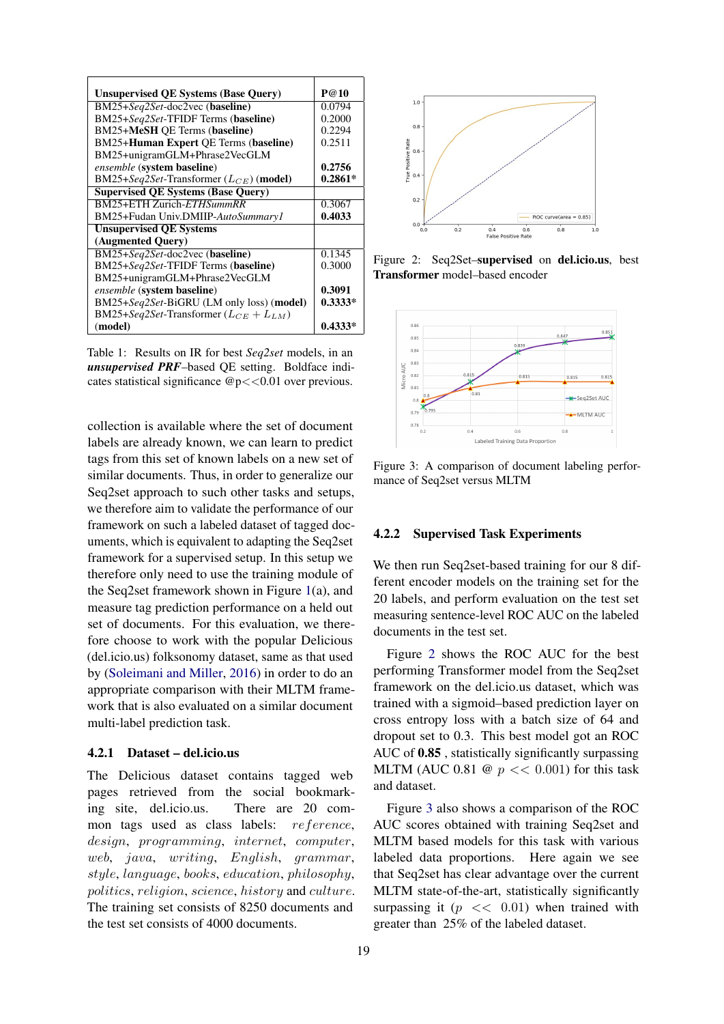<span id="page-5-0"></span>

| <b>Unsupervised QE Systems (Base Query)</b>  | P@10      |
|----------------------------------------------|-----------|
| BM25+Seq2Set-doc2vec (baseline)              | 0.0794    |
| BM25+Seq2Set-TFIDF Terms (baseline)          | 0.2000    |
| BM25+MeSH OE Terms (baseline)                | 0.2294    |
| BM25+Human Expert QE Terms (baseline)        | 0.2511    |
| BM25+unigramGLM+Phrase2VecGLM                |           |
| <i>ensemble</i> (system baseline)            | 0.2756    |
| BM25+Seq2Set-Transformer $(L_{CE})$ (model)  | $0.2861*$ |
| <b>Supervised QE Systems (Base Query)</b>    |           |
| BM25+ETH Zurich-ETHSummRR                    | 0.3067    |
| BM25+Fudan Univ.DMIIP-AutoSummary1           | 0.4033    |
| <b>Unsupervised OE Systems</b>               |           |
| (Augmented Query)                            |           |
| BM25+Seq2Set-doc2vec (baseline)              | 0.1345    |
| BM25+Seq2Set-TFIDF Terms (baseline)          | 0.3000    |
| BM25+unigramGLM+Phrase2VecGLM                |           |
| ensemble (system baseline)                   | 0.3091    |
| BM25+Seq2Set-BiGRU (LM only loss) (model)    | $0.3333*$ |
| BM25+Seq2Set-Transformer $(L_{CE} + L_{LM})$ |           |
| (model)                                      | $0.4333*$ |

Table 1: Results on IR for best *Seq2set* models, in an *unsupervised PRF*–based QE setting. Boldface indicates statistical significance  $@p \lt 0.01$  over previous.

collection is available where the set of document labels are already known, we can learn to predict tags from this set of known labels on a new set of similar documents. Thus, in order to generalize our Seq2set approach to such other tasks and setups, we therefore aim to validate the performance of our framework on such a labeled dataset of tagged documents, which is equivalent to adapting the Seq2set framework for a supervised setup. In this setup we therefore only need to use the training module of the Seq2set framework shown in Figure [1\(](#page-3-0)a), and measure tag prediction performance on a held out set of documents. For this evaluation, we therefore choose to work with the popular Delicious (del.icio.us) folksonomy dataset, same as that used by [\(Soleimani and Miller,](#page-8-0) [2016\)](#page-8-0) in order to do an appropriate comparison with their MLTM framework that is also evaluated on a similar document multi-label prediction task.

# 4.2.1 Dataset – del.icio.us

The Delicious dataset contains tagged web pages retrieved from the social bookmarking site, del.icio.us. There are 20 common tags used as class labels: reference, design, programming, internet, computer, web, java, writing, English, grammar, style, language, books, education, philosophy, politics, religion, science, history and culture. The training set consists of 8250 documents and the test set consists of 4000 documents.

<span id="page-5-1"></span>

Figure 2: Seq2Set–supervised on del.icio.us, best Transformer model–based encoder

<span id="page-5-2"></span>

Figure 3: A comparison of document labeling performance of Seq2set versus MLTM

### 4.2.2 Supervised Task Experiments

We then run Seq2set-based training for our 8 different encoder models on the training set for the 20 labels, and perform evaluation on the test set measuring sentence-level ROC AUC on the labeled documents in the test set.

Figure [2](#page-5-1) shows the ROC AUC for the best performing Transformer model from the Seq2set framework on the del.icio.us dataset, which was trained with a sigmoid–based prediction layer on cross entropy loss with a batch size of 64 and dropout set to 0.3. This best model got an ROC AUC of 0.85 , statistically significantly surpassing MLTM (AUC 0.81  $\omega$   $p \ll 0.001$ ) for this task and dataset.

Figure [3](#page-5-2) also shows a comparison of the ROC AUC scores obtained with training Seq2set and MLTM based models for this task with various labeled data proportions. Here again we see that Seq2set has clear advantage over the current MLTM state-of-the-art, statistically significantly surpassing it  $(p \ll 0.01)$  when trained with greater than 25% of the labeled dataset.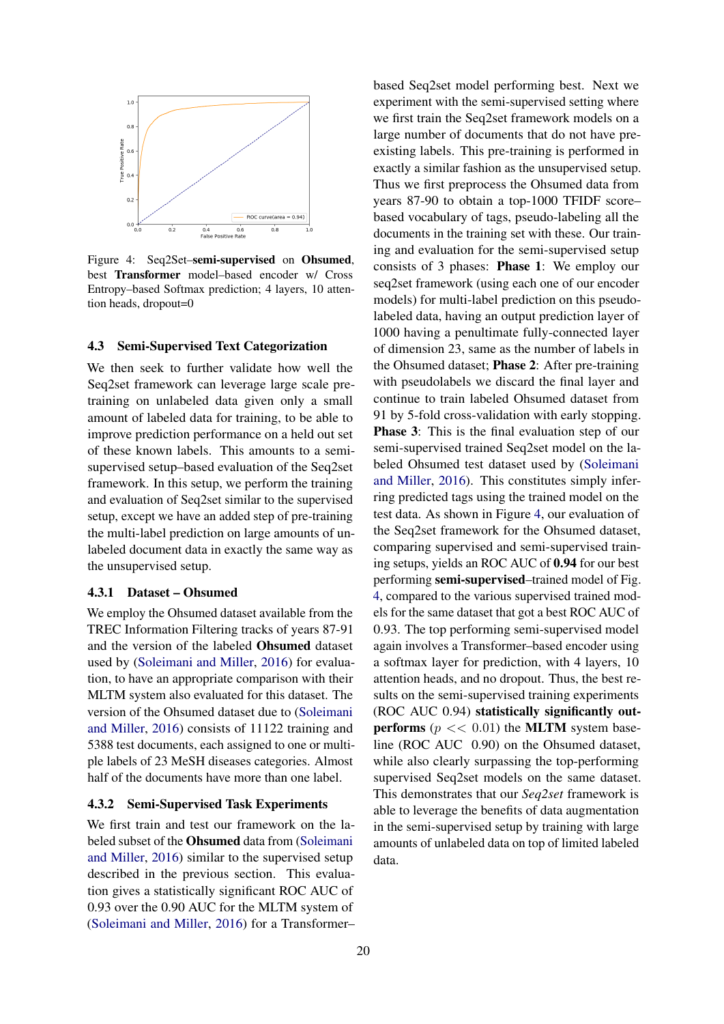<span id="page-6-0"></span>

Figure 4: Seq2Set–semi-supervised on Ohsumed, best Transformer model–based encoder w/ Cross Entropy–based Softmax prediction; 4 layers, 10 attention heads, dropout=0

### 4.3 Semi-Supervised Text Categorization

We then seek to further validate how well the Seq2set framework can leverage large scale pretraining on unlabeled data given only a small amount of labeled data for training, to be able to improve prediction performance on a held out set of these known labels. This amounts to a semisupervised setup–based evaluation of the Seq2set framework. In this setup, we perform the training and evaluation of Seq2set similar to the supervised setup, except we have an added step of pre-training the multi-label prediction on large amounts of unlabeled document data in exactly the same way as the unsupervised setup.

#### 4.3.1 Dataset – Ohsumed

We employ the Ohsumed dataset available from the TREC Information Filtering tracks of years 87-91 and the version of the labeled Ohsumed dataset used by [\(Soleimani and Miller,](#page-8-0) [2016\)](#page-8-0) for evaluation, to have an appropriate comparison with their MLTM system also evaluated for this dataset. The version of the Ohsumed dataset due to [\(Soleimani](#page-8-0) [and Miller,](#page-8-0) [2016\)](#page-8-0) consists of 11122 training and 5388 test documents, each assigned to one or multiple labels of 23 MeSH diseases categories. Almost half of the documents have more than one label.

### 4.3.2 Semi-Supervised Task Experiments

We first train and test our framework on the labeled subset of the Ohsumed data from [\(Soleimani](#page-8-0) [and Miller,](#page-8-0) [2016\)](#page-8-0) similar to the supervised setup described in the previous section. This evaluation gives a statistically significant ROC AUC of 0.93 over the 0.90 AUC for the MLTM system of [\(Soleimani and Miller,](#page-8-0) [2016\)](#page-8-0) for a Transformer–

based Seq2set model performing best. Next we experiment with the semi-supervised setting where we first train the Seq2set framework models on a large number of documents that do not have preexisting labels. This pre-training is performed in exactly a similar fashion as the unsupervised setup. Thus we first preprocess the Ohsumed data from years 87-90 to obtain a top-1000 TFIDF score– based vocabulary of tags, pseudo-labeling all the documents in the training set with these. Our training and evaluation for the semi-supervised setup consists of 3 phases: Phase 1: We employ our seq2set framework (using each one of our encoder models) for multi-label prediction on this pseudolabeled data, having an output prediction layer of 1000 having a penultimate fully-connected layer of dimension 23, same as the number of labels in the Ohsumed dataset; Phase 2: After pre-training with pseudolabels we discard the final layer and continue to train labeled Ohsumed dataset from 91 by 5-fold cross-validation with early stopping. Phase 3: This is the final evaluation step of our semi-supervised trained Seq2set model on the labeled Ohsumed test dataset used by [\(Soleimani](#page-8-0) [and Miller,](#page-8-0) [2016\)](#page-8-0). This constitutes simply inferring predicted tags using the trained model on the test data. As shown in Figure [4,](#page-6-0) our evaluation of the Seq2set framework for the Ohsumed dataset, comparing supervised and semi-supervised training setups, yields an ROC AUC of 0.94 for our best performing semi-supervised–trained model of Fig. [4,](#page-6-0) compared to the various supervised trained models for the same dataset that got a best ROC AUC of 0.93. The top performing semi-supervised model again involves a Transformer–based encoder using a softmax layer for prediction, with 4 layers, 10 attention heads, and no dropout. Thus, the best results on the semi-supervised training experiments (ROC AUC 0.94) statistically significantly outperforms ( $p \ll 0.01$ ) the MLTM system baseline (ROC AUC 0.90) on the Ohsumed dataset, while also clearly surpassing the top-performing supervised Seq2set models on the same dataset. This demonstrates that our *Seq2set* framework is able to leverage the benefits of data augmentation in the semi-supervised setup by training with large amounts of unlabeled data on top of limited labeled data.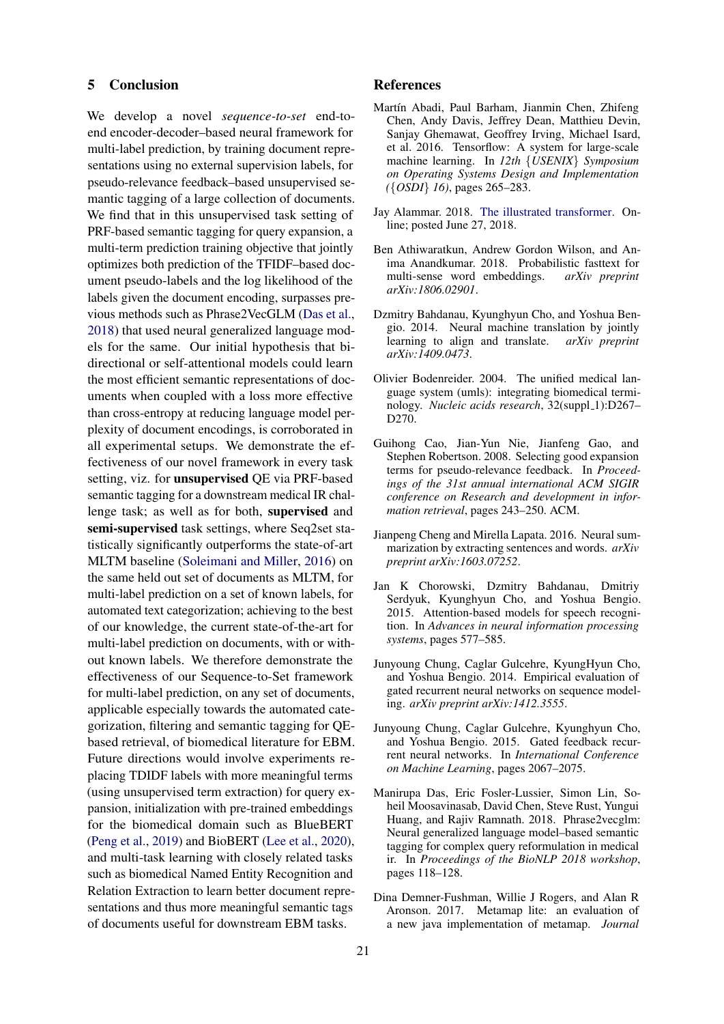### 5 Conclusion

We develop a novel *sequence-to-set* end-toend encoder-decoder–based neural framework for multi-label prediction, by training document representations using no external supervision labels, for pseudo-relevance feedback–based unsupervised semantic tagging of a large collection of documents. We find that in this unsupervised task setting of PRF-based semantic tagging for query expansion, a multi-term prediction training objective that jointly optimizes both prediction of the TFIDF–based document pseudo-labels and the log likelihood of the labels given the document encoding, surpasses previous methods such as Phrase2VecGLM [\(Das et al.,](#page-7-4) [2018\)](#page-7-4) that used neural generalized language models for the same. Our initial hypothesis that bidirectional or self-attentional models could learn the most efficient semantic representations of documents when coupled with a loss more effective than cross-entropy at reducing language model perplexity of document encodings, is corroborated in all experimental setups. We demonstrate the effectiveness of our novel framework in every task setting, viz. for unsupervised QE via PRF-based semantic tagging for a downstream medical IR challenge task; as well as for both, supervised and semi-supervised task settings, where Seq2set statistically significantly outperforms the state-of-art MLTM baseline [\(Soleimani and Miller,](#page-8-0) [2016\)](#page-8-0) on the same held out set of documents as MLTM, for multi-label prediction on a set of known labels, for automated text categorization; achieving to the best of our knowledge, the current state-of-the-art for multi-label prediction on documents, with or without known labels. We therefore demonstrate the effectiveness of our Sequence-to-Set framework for multi-label prediction, on any set of documents, applicable especially towards the automated categorization, filtering and semantic tagging for QEbased retrieval, of biomedical literature for EBM. Future directions would involve experiments replacing TDIDF labels with more meaningful terms (using unsupervised term extraction) for query expansion, initialization with pre-trained embeddings for the biomedical domain such as BlueBERT [\(Peng et al.,](#page-8-15) [2019\)](#page-8-15) and BioBERT [\(Lee et al.,](#page-8-16) [2020\)](#page-8-16), and multi-task learning with closely related tasks such as biomedical Named Entity Recognition and Relation Extraction to learn better document representations and thus more meaningful semantic tags of documents useful for downstream EBM tasks.

### References

- <span id="page-7-11"></span>Martín Abadi, Paul Barham, Jianmin Chen, Zhifeng Chen, Andy Davis, Jeffrey Dean, Matthieu Devin, Sanjay Ghemawat, Geoffrey Irving, Michael Isard, et al. 2016. Tensorflow: A system for large-scale machine learning. In *12th* {*USENIX*} *Symposium on Operating Systems Design and Implementation (*{*OSDI*} *16)*, pages 265–283.
- <span id="page-7-5"></span>Jay Alammar. 2018. [The illustrated transformer.](http://jalammar.github.io/illustrated-transformer/) Online; posted June 27, 2018.
- <span id="page-7-6"></span>Ben Athiwaratkun, Andrew Gordon Wilson, and Anima Anandkumar. 2018. Probabilistic fasttext for multi-sense word embeddings. *arXiv preprint arXiv:1806.02901*.
- <span id="page-7-0"></span>Dzmitry Bahdanau, Kyunghyun Cho, and Yoshua Bengio. 2014. Neural machine translation by jointly learning to align and translate.  $arXiv$  preprint learning to align and translate. *arXiv:1409.0473*.
- <span id="page-7-7"></span>Olivier Bodenreider. 2004. The unified medical language system (umls): integrating biomedical terminology. *Nucleic acids research*, 32(suppl\_1):D267-D270.
- <span id="page-7-3"></span>Guihong Cao, Jian-Yun Nie, Jianfeng Gao, and Stephen Robertson. 2008. Selecting good expansion terms for pseudo-relevance feedback. In *Proceedings of the 31st annual international ACM SIGIR conference on Research and development in information retrieval*, pages 243–250. ACM.
- <span id="page-7-2"></span>Jianpeng Cheng and Mirella Lapata. 2016. Neural summarization by extracting sentences and words. *arXiv preprint arXiv:1603.07252*.
- <span id="page-7-1"></span>Jan K Chorowski, Dzmitry Bahdanau, Dmitriy Serdyuk, Kyunghyun Cho, and Yoshua Bengio. 2015. Attention-based models for speech recognition. In *Advances in neural information processing systems*, pages 577–585.
- <span id="page-7-9"></span>Junyoung Chung, Caglar Gulcehre, KyungHyun Cho, and Yoshua Bengio. 2014. Empirical evaluation of gated recurrent neural networks on sequence modeling. *arXiv preprint arXiv:1412.3555*.
- <span id="page-7-10"></span>Junyoung Chung, Caglar Gulcehre, Kyunghyun Cho, and Yoshua Bengio. 2015. Gated feedback recurrent neural networks. In *International Conference on Machine Learning*, pages 2067–2075.
- <span id="page-7-4"></span>Manirupa Das, Eric Fosler-Lussier, Simon Lin, Soheil Moosavinasab, David Chen, Steve Rust, Yungui Huang, and Rajiv Ramnath. 2018. Phrase2vecglm: Neural generalized language model–based semantic tagging for complex query reformulation in medical ir. In *Proceedings of the BioNLP 2018 workshop*, pages 118–128.
- <span id="page-7-8"></span>Dina Demner-Fushman, Willie J Rogers, and Alan R Aronson. 2017. Metamap lite: an evaluation of a new java implementation of metamap. *Journal*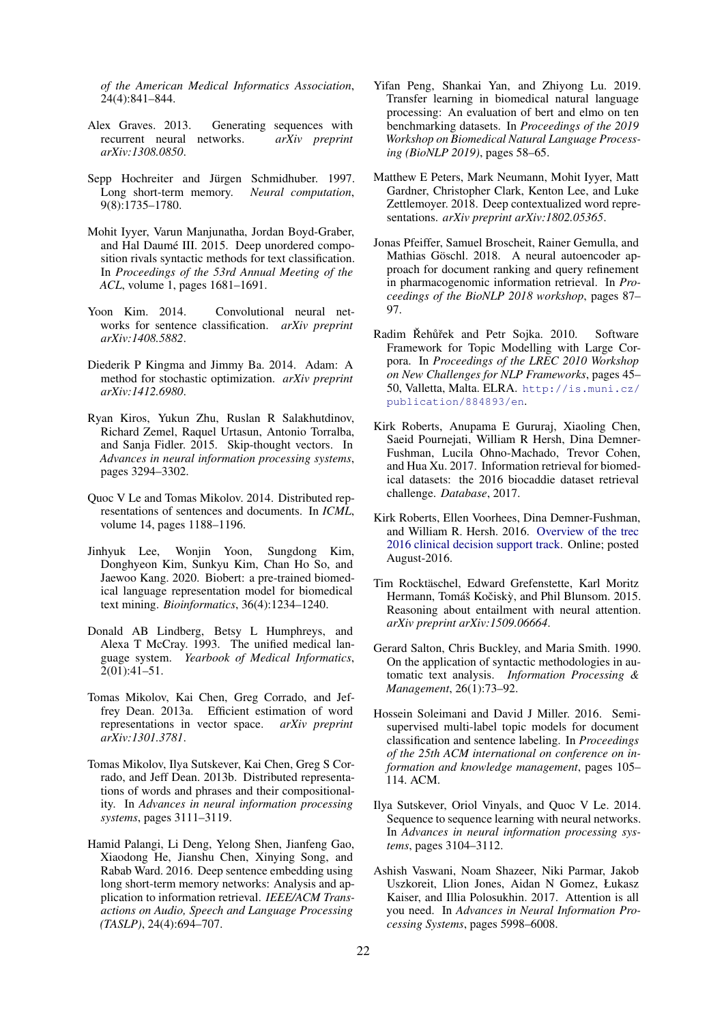*of the American Medical Informatics Association*, 24(4):841–844.

- <span id="page-8-2"></span>Alex Graves. 2013. Generating sequences with recurrent neural networks. *arXiv preprint arXiv:1308.0850*.
- <span id="page-8-18"></span>Sepp Hochreiter and Jürgen Schmidhuber. 1997. Long short-term memory. *Neural computation*, 9(8):1735–1780.
- <span id="page-8-10"></span>Mohit Iyyer, Varun Manjunatha, Jordan Boyd-Graber, and Hal Daumé III. 2015. Deep unordered composition rivals syntactic methods for text classification. In *Proceedings of the 53rd Annual Meeting of the ACL*, volume 1, pages 1681–1691.
- <span id="page-8-19"></span>Yoon Kim. 2014. Convolutional neural networks for sentence classification. *arXiv preprint arXiv:1408.5882*.
- <span id="page-8-14"></span>Diederik P Kingma and Jimmy Ba. 2014. Adam: A method for stochastic optimization. *arXiv preprint arXiv:1412.6980*.
- <span id="page-8-11"></span>Ryan Kiros, Yukun Zhu, Ruslan R Salakhutdinov, Richard Zemel, Raquel Urtasun, Antonio Torralba, and Sanja Fidler. 2015. Skip-thought vectors. In *Advances in neural information processing systems*, pages 3294–3302.
- <span id="page-8-17"></span>Quoc V Le and Tomas Mikolov. 2014. Distributed representations of sentences and documents. In *ICML*, volume 14, pages 1188–1196.
- <span id="page-8-16"></span>Jinhyuk Lee, Wonjin Yoon, Sungdong Kim, Donghyeon Kim, Sunkyu Kim, Chan Ho So, and Jaewoo Kang. 2020. Biobert: a pre-trained biomedical language representation model for biomedical text mining. *Bioinformatics*, 36(4):1234–1240.
- <span id="page-8-13"></span>Donald AB Lindberg, Betsy L Humphreys, and Alexa T McCray. 1993. The unified medical language system. *Yearbook of Medical Informatics*,  $2(01):41-51.$
- <span id="page-8-12"></span>Tomas Mikolov, Kai Chen, Greg Corrado, and Jeffrey Dean. 2013a. Efficient estimation of word representations in vector space. *arXiv preprint arXiv:1301.3781*.
- <span id="page-8-20"></span>Tomas Mikolov, Ilya Sutskever, Kai Chen, Greg S Corrado, and Jeff Dean. 2013b. Distributed representations of words and phrases and their compositionality. In *Advances in neural information processing systems*, pages 3111–3119.
- <span id="page-8-4"></span>Hamid Palangi, Li Deng, Yelong Shen, Jianfeng Gao, Xiaodong He, Jianshu Chen, Xinying Song, and Rabab Ward. 2016. Deep sentence embedding using long short-term memory networks: Analysis and application to information retrieval. *IEEE/ACM Transactions on Audio, Speech and Language Processing (TASLP)*, 24(4):694–707.
- <span id="page-8-15"></span>Yifan Peng, Shankai Yan, and Zhiyong Lu. 2019. Transfer learning in biomedical natural language processing: An evaluation of bert and elmo on ten benchmarking datasets. In *Proceedings of the 2019 Workshop on Biomedical Natural Language Processing (BioNLP 2019)*, pages 58–65.
- <span id="page-8-22"></span>Matthew E Peters, Mark Neumann, Mohit Iyyer, Matt Gardner, Christopher Clark, Kenton Lee, and Luke Zettlemoyer. 2018. Deep contextualized word representations. *arXiv preprint arXiv:1802.05365*.
- <span id="page-8-5"></span>Jonas Pfeiffer, Samuel Broscheit, Rainer Gemulla, and Mathias Göschl. 2018. A neural autoencoder approach for document ranking and query refinement in pharmacogenomic information retrieval. In *Proceedings of the BioNLP 2018 workshop*, pages 87– 97.
- <span id="page-8-21"></span>Radim Řehůřek and Petr Sojka. 2010. Software Framework for Topic Modelling with Large Corpora. In *Proceedings of the LREC 2010 Workshop on New Challenges for NLP Frameworks*, pages 45– 50, Valletta, Malta. ELRA. [http://is.muni.cz/](http://is.muni.cz/publication/884893/en) [publication/884893/en](http://is.muni.cz/publication/884893/en).
- <span id="page-8-9"></span>Kirk Roberts, Anupama E Gururaj, Xiaoling Chen, Saeid Pournejati, William R Hersh, Dina Demner-Fushman, Lucila Ohno-Machado, Trevor Cohen, and Hua Xu. 2017. Information retrieval for biomedical datasets: the 2016 biocaddie dataset retrieval challenge. *Database*, 2017.
- <span id="page-8-8"></span>Kirk Roberts, Ellen Voorhees, Dina Demner-Fushman, and William R. Hersh. 2016. [Overview of the trec](http://trec.nist.gov/pubs/trec25/papers/Overview-CL.pdf) [2016 clinical decision support track.](http://trec.nist.gov/pubs/trec25/papers/Overview-CL.pdf) Online; posted August-2016.
- <span id="page-8-7"></span>Tim Rocktäschel, Edward Grefenstette, Karl Moritz Hermann, Tomáš Kočiskỳ, and Phil Blunsom. 2015. Reasoning about entailment with neural attention. *arXiv preprint arXiv:1509.06664*.
- <span id="page-8-3"></span>Gerard Salton, Chris Buckley, and Maria Smith. 1990. On the application of syntactic methodologies in automatic text analysis. *Information Processing & Management*, 26(1):73–92.
- <span id="page-8-0"></span>Hossein Soleimani and David J Miller. 2016. Semisupervised multi-label topic models for document classification and sentence labeling. In *Proceedings of the 25th ACM international on conference on information and knowledge management*, pages 105– 114. ACM.
- <span id="page-8-6"></span>Ilya Sutskever, Oriol Vinyals, and Quoc V Le. 2014. Sequence to sequence learning with neural networks. In *Advances in neural information processing systems*, pages 3104–3112.
- <span id="page-8-1"></span>Ashish Vaswani, Noam Shazeer, Niki Parmar, Jakob Uszkoreit, Llion Jones, Aidan N Gomez, Łukasz Kaiser, and Illia Polosukhin. 2017. Attention is all you need. In *Advances in Neural Information Processing Systems*, pages 5998–6008.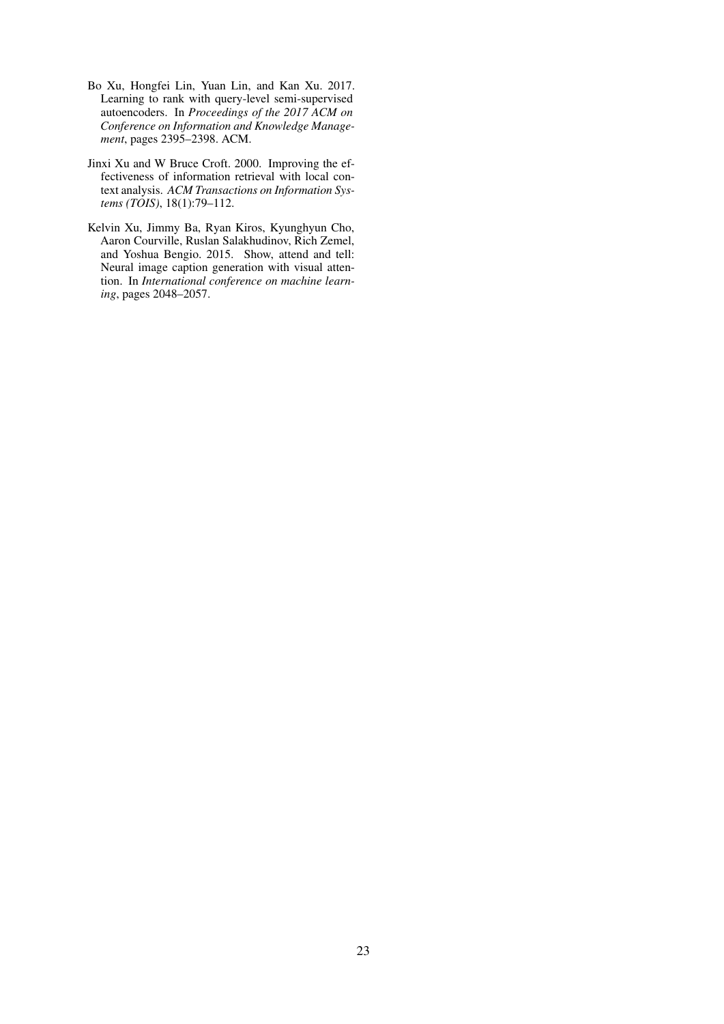- <span id="page-9-2"></span>Bo Xu, Hongfei Lin, Yuan Lin, and Kan Xu. 2017. Learning to rank with query-level semi-supervised autoencoders. In *Proceedings of the 2017 ACM on Conference on Information and Knowledge Management*, pages 2395–2398. ACM.
- <span id="page-9-1"></span>Jinxi Xu and W Bruce Croft. 2000. Improving the effectiveness of information retrieval with local context analysis. *ACM Transactions on Information Systems (TOIS)*, 18(1):79–112.
- <span id="page-9-0"></span>Kelvin Xu, Jimmy Ba, Ryan Kiros, Kyunghyun Cho, Aaron Courville, Ruslan Salakhudinov, Rich Zemel, and Yoshua Bengio. 2015. Show, attend and tell: Neural image caption generation with visual attention. In *International conference on machine learning*, pages 2048–2057.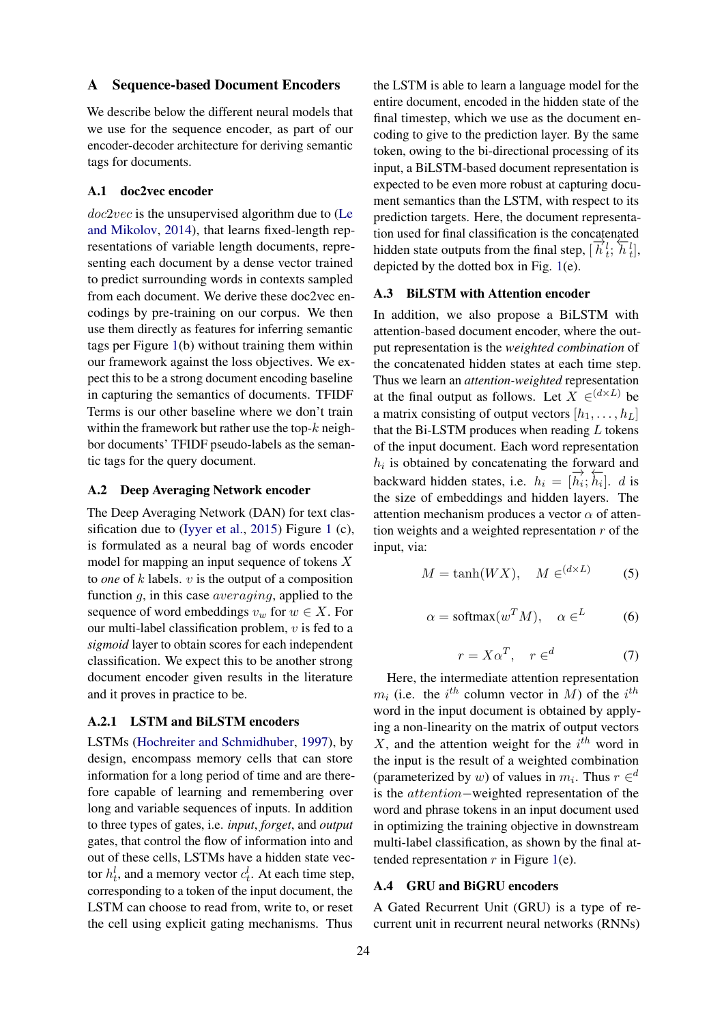### <span id="page-10-0"></span>A Sequence-based Document Encoders

We describe below the different neural models that we use for the sequence encoder, as part of our encoder-decoder architecture for deriving semantic tags for documents.

#### A.1 doc2vec encoder

doc2vec is the unsupervised algorithm due to [\(Le](#page-8-17) [and Mikolov,](#page-8-17) [2014\)](#page-8-17), that learns fixed-length representations of variable length documents, representing each document by a dense vector trained to predict surrounding words in contexts sampled from each document. We derive these doc2vec encodings by pre-training on our corpus. We then use them directly as features for inferring semantic tags per Figure [1\(](#page-3-0)b) without training them within our framework against the loss objectives. We expect this to be a strong document encoding baseline in capturing the semantics of documents. TFIDF Terms is our other baseline where we don't train within the framework but rather use the top- $k$  neighbor documents' TFIDF pseudo-labels as the semantic tags for the query document.

### A.2 Deep Averaging Network encoder

The Deep Averaging Network (DAN) for text classification due to [\(Iyyer et al.,](#page-8-10) [2015\)](#page-8-10) Figure [1](#page-3-0) (c), is formulated as a neural bag of words encoder model for mapping an input sequence of tokens X to *one* of k labels. v is the output of a composition function q, in this case *averaging*, applied to the sequence of word embeddings  $v_w$  for  $w \in X$ . For our multi-label classification problem,  $v$  is fed to a *sigmoid* layer to obtain scores for each independent classification. We expect this to be another strong document encoder given results in the literature and it proves in practice to be.

### A.2.1 LSTM and BiLSTM encoders

LSTMs [\(Hochreiter and Schmidhuber,](#page-8-18) [1997\)](#page-8-18), by design, encompass memory cells that can store information for a long period of time and are therefore capable of learning and remembering over long and variable sequences of inputs. In addition to three types of gates, i.e. *input*, *forget*, and *output* gates, that control the flow of information into and out of these cells, LSTMs have a hidden state vector  $h_t^l$ , and a memory vector  $c_t^l$ . At each time step, corresponding to a token of the input document, the LSTM can choose to read from, write to, or reset the cell using explicit gating mechanisms. Thus

the LSTM is able to learn a language model for the entire document, encoded in the hidden state of the final timestep, which we use as the document encoding to give to the prediction layer. By the same token, owing to the bi-directional processing of its input, a BiLSTM-based document representation is expected to be even more robust at capturing document semantics than the LSTM, with respect to its prediction targets. Here, the document representation used for final classification is the concatenated hidden state outputs from the final step,  $[\vec{h}_t^i; \vec{h}_t^i]$ , depicted by the dotted box in Fig. [1\(](#page-3-0)e).

#### A.3 BiLSTM with Attention encoder

In addition, we also propose a BiLSTM with attention-based document encoder, where the output representation is the *weighted combination* of the concatenated hidden states at each time step. Thus we learn an *attention-weighted* representation at the final output as follows. Let  $X \in (d \times L)$  be a matrix consisting of output vectors  $[h_1, \ldots, h_L]$ that the Bi-LSTM produces when reading  $L$  tokens of the input document. Each word representation  $h_i$  is obtained by concatenating the forward and backward hidden states, i.e.  $h_i = [\overrightarrow{h_i}; \overrightarrow{h_i}]$ . *d* is the size of embeddings and hidden layers. The attention mechanism produces a vector  $\alpha$  of attention weights and a weighted representation  $r$  of the input, via:

$$
M = \tanh(WX), \quad M \in (d \times L) \tag{5}
$$

$$
\alpha = \text{softmax}(w^T M), \quad \alpha \in L \tag{6}
$$

$$
r = X\alpha^T, \quad r \in \real^d \tag{7}
$$

Here, the intermediate attention representation  $m_i$  (i.e. the i<sup>th</sup> column vector in M) of the i<sup>th</sup> word in the input document is obtained by applying a non-linearity on the matrix of output vectors  $X$ , and the attention weight for the  $i^{th}$  word in the input is the result of a weighted combination (parameterized by w) of values in  $m_i$ . Thus  $r \in \mathbb{R}^d$ is the attention−weighted representation of the word and phrase tokens in an input document used in optimizing the training objective in downstream multi-label classification, as shown by the final attended representation  $r$  in Figure [1\(](#page-3-0)e).

# A.4 GRU and BiGRU encoders

A Gated Recurrent Unit (GRU) is a type of recurrent unit in recurrent neural networks (RNNs)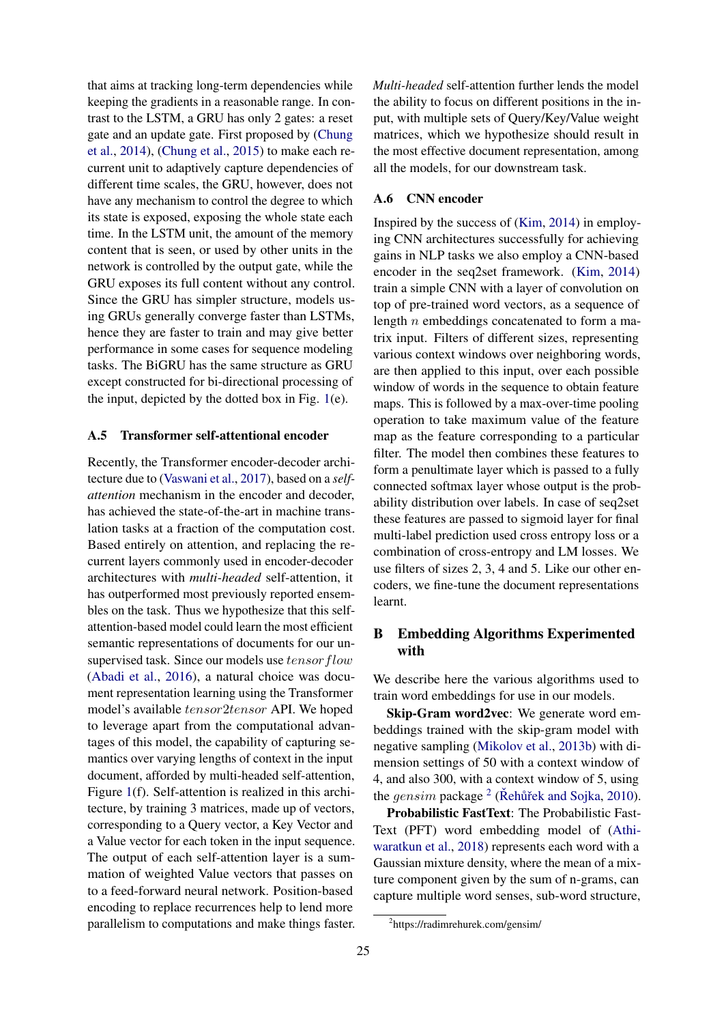that aims at tracking long-term dependencies while keeping the gradients in a reasonable range. In contrast to the LSTM, a GRU has only 2 gates: a reset gate and an update gate. First proposed by [\(Chung](#page-7-9) [et al.,](#page-7-9) [2014\)](#page-7-9), [\(Chung et al.,](#page-7-10) [2015\)](#page-7-10) to make each recurrent unit to adaptively capture dependencies of different time scales, the GRU, however, does not have any mechanism to control the degree to which its state is exposed, exposing the whole state each time. In the LSTM unit, the amount of the memory content that is seen, or used by other units in the network is controlled by the output gate, while the GRU exposes its full content without any control. Since the GRU has simpler structure, models using GRUs generally converge faster than LSTMs, hence they are faster to train and may give better performance in some cases for sequence modeling tasks. The BiGRU has the same structure as GRU except constructed for bi-directional processing of the input, depicted by the dotted box in Fig. [1\(](#page-3-0)e).

### A.5 Transformer self-attentional encoder

Recently, the Transformer encoder-decoder architecture due to [\(Vaswani et al.,](#page-8-1) [2017\)](#page-8-1), based on a *selfattention* mechanism in the encoder and decoder, has achieved the state-of-the-art in machine translation tasks at a fraction of the computation cost. Based entirely on attention, and replacing the recurrent layers commonly used in encoder-decoder architectures with *multi-headed* self-attention, it has outperformed most previously reported ensembles on the task. Thus we hypothesize that this selfattention-based model could learn the most efficient semantic representations of documents for our unsupervised task. Since our models use  $tensor flow$ [\(Abadi et al.,](#page-7-11) [2016\)](#page-7-11), a natural choice was document representation learning using the Transformer model's available  $tensor2tensor$  API. We hoped to leverage apart from the computational advantages of this model, the capability of capturing semantics over varying lengths of context in the input document, afforded by multi-headed self-attention, Figure [1\(](#page-3-0)f). Self-attention is realized in this architecture, by training 3 matrices, made up of vectors, corresponding to a Query vector, a Key Vector and a Value vector for each token in the input sequence. The output of each self-attention layer is a summation of weighted Value vectors that passes on to a feed-forward neural network. Position-based encoding to replace recurrences help to lend more parallelism to computations and make things faster.

*Multi-headed* self-attention further lends the model the ability to focus on different positions in the input, with multiple sets of Query/Key/Value weight matrices, which we hypothesize should result in the most effective document representation, among all the models, for our downstream task.

## A.6 CNN encoder

Inspired by the success of [\(Kim,](#page-8-19) [2014\)](#page-8-19) in employing CNN architectures successfully for achieving gains in NLP tasks we also employ a CNN-based encoder in the seq2set framework. [\(Kim,](#page-8-19) [2014\)](#page-8-19) train a simple CNN with a layer of convolution on top of pre-trained word vectors, as a sequence of length n embeddings concatenated to form a matrix input. Filters of different sizes, representing various context windows over neighboring words, are then applied to this input, over each possible window of words in the sequence to obtain feature maps. This is followed by a max-over-time pooling operation to take maximum value of the feature map as the feature corresponding to a particular filter. The model then combines these features to form a penultimate layer which is passed to a fully connected softmax layer whose output is the probability distribution over labels. In case of seq2set these features are passed to sigmoid layer for final multi-label prediction used cross entropy loss or a combination of cross-entropy and LM losses. We use filters of sizes 2, 3, 4 and 5. Like our other encoders, we fine-tune the document representations learnt.

# <span id="page-11-0"></span>B Embedding Algorithms Experimented with

We describe here the various algorithms used to train word embeddings for use in our models.

Skip-Gram word2vec: We generate word embeddings trained with the skip-gram model with negative sampling [\(Mikolov et al.,](#page-8-20) [2013b\)](#page-8-20) with dimension settings of 50 with a context window of 4, and also 300, with a context window of 5, using the  $gensim$  package  $2$  (Rehurtiek and Sojka, [2010\)](#page-8-21).

Probabilistic FastText: The Probabilistic Fast-Text (PFT) word embedding model of [\(Athi](#page-7-6)[waratkun et al.,](#page-7-6) [2018\)](#page-7-6) represents each word with a Gaussian mixture density, where the mean of a mixture component given by the sum of n-grams, can capture multiple word senses, sub-word structure,

<span id="page-11-1"></span><sup>2</sup> https://radimrehurek.com/gensim/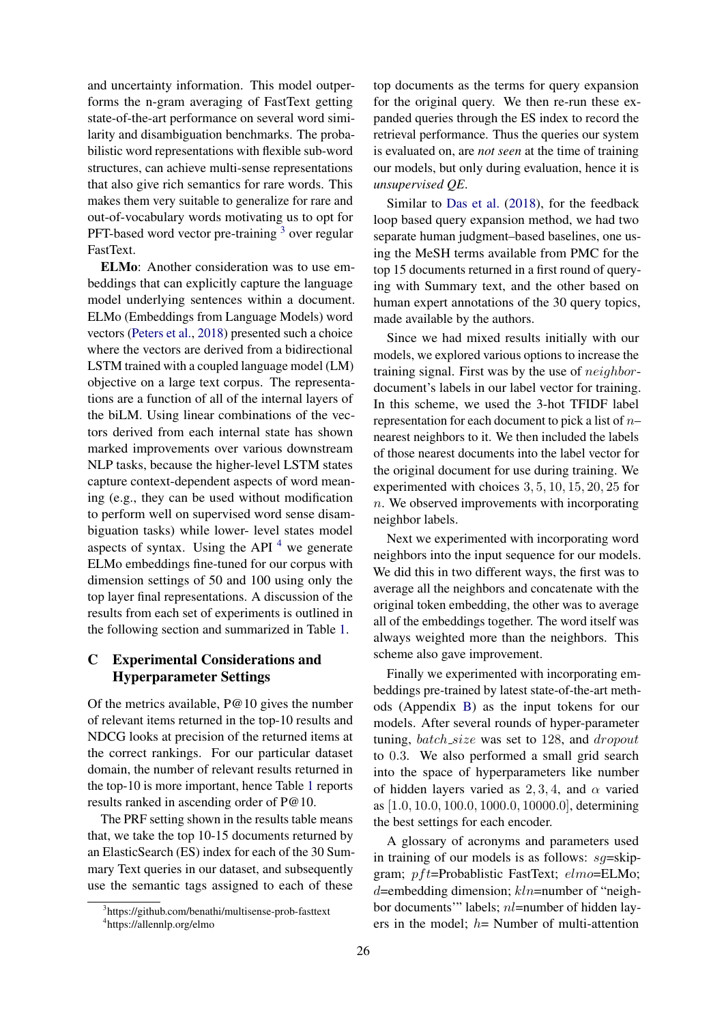and uncertainty information. This model outperforms the n-gram averaging of FastText getting state-of-the-art performance on several word similarity and disambiguation benchmarks. The probabilistic word representations with flexible sub-word structures, can achieve multi-sense representations that also give rich semantics for rare words. This makes them very suitable to generalize for rare and out-of-vocabulary words motivating us to opt for PFT-based word vector pre-training <sup>[3](#page-12-0)</sup> over regular FastText.

ELMo: Another consideration was to use embeddings that can explicitly capture the language model underlying sentences within a document. ELMo (Embeddings from Language Models) word vectors [\(Peters et al.,](#page-8-22) [2018\)](#page-8-22) presented such a choice where the vectors are derived from a bidirectional LSTM trained with a coupled language model (LM) objective on a large text corpus. The representations are a function of all of the internal layers of the biLM. Using linear combinations of the vectors derived from each internal state has shown marked improvements over various downstream NLP tasks, because the higher-level LSTM states capture context-dependent aspects of word meaning (e.g., they can be used without modification to perform well on supervised word sense disambiguation tasks) while lower- level states model aspects of syntax. Using the API  $<sup>4</sup>$  $<sup>4</sup>$  $<sup>4</sup>$  we generate</sup> ELMo embeddings fine-tuned for our corpus with dimension settings of 50 and 100 using only the top layer final representations. A discussion of the results from each set of experiments is outlined in the following section and summarized in Table [1.](#page-5-0)

# C Experimental Considerations and Hyperparameter Settings

Of the metrics available, P@10 gives the number of relevant items returned in the top-10 results and NDCG looks at precision of the returned items at the correct rankings. For our particular dataset domain, the number of relevant results returned in the top-10 is more important, hence Table [1](#page-5-0) reports results ranked in ascending order of P@10.

The PRF setting shown in the results table means that, we take the top 10-15 documents returned by an ElasticSearch (ES) index for each of the 30 Summary Text queries in our dataset, and subsequently use the semantic tags assigned to each of these

top documents as the terms for query expansion for the original query. We then re-run these expanded queries through the ES index to record the retrieval performance. Thus the queries our system is evaluated on, are *not seen* at the time of training our models, but only during evaluation, hence it is *unsupervised QE*.

Similar to [Das et al.](#page-7-4) [\(2018\)](#page-7-4), for the feedback loop based query expansion method, we had two separate human judgment–based baselines, one using the MeSH terms available from PMC for the top 15 documents returned in a first round of querying with Summary text, and the other based on human expert annotations of the 30 query topics, made available by the authors.

Since we had mixed results initially with our models, we explored various options to increase the training signal. First was by the use of neighbordocument's labels in our label vector for training. In this scheme, we used the 3-hot TFIDF label representation for each document to pick a list of  $n$ nearest neighbors to it. We then included the labels of those nearest documents into the label vector for the original document for use during training. We experimented with choices 3, 5, 10, 15, 20, 25 for  $n.$  We observed improvements with incorporating neighbor labels.

Next we experimented with incorporating word neighbors into the input sequence for our models. We did this in two different ways, the first was to average all the neighbors and concatenate with the original token embedding, the other was to average all of the embeddings together. The word itself was always weighted more than the neighbors. This scheme also gave improvement.

Finally we experimented with incorporating embeddings pre-trained by latest state-of-the-art methods (Appendix [B\)](#page-11-0) as the input tokens for our models. After several rounds of hyper-parameter tuning,  $batch_size$  was set to 128, and  $dropout$ to 0.3. We also performed a small grid search into the space of hyperparameters like number of hidden layers varied as 2, 3, 4, and  $\alpha$  varied as [1.0, 10.0, 100.0, 1000.0, 10000.0], determining the best settings for each encoder.

A glossary of acronyms and parameters used in training of our models is as follows:  $sg=skip$ gram; pft=Probablistic FastText; elmo=ELMo;  $d$ =embedding dimension;  $kln$ =number of "neighbor documents'" labels; nl=number of hidden layers in the model;  $h=$  Number of multi-attention

<span id="page-12-1"></span><span id="page-12-0"></span><sup>3</sup> https://github.com/benathi/multisense-prob-fasttext 4 https://allennlp.org/elmo